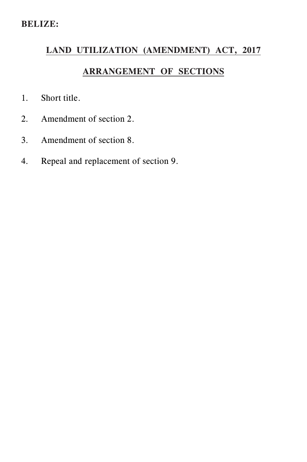## **LAND UTILIZATION (AMENDMENT) ACT, 2017**

## **ARRANGEMENT OF SECTIONS**

- 1. Short title.
- 2. Amendment of section 2.
- 3. Amendment of section 8.
- 4. Repeal and replacement of section 9.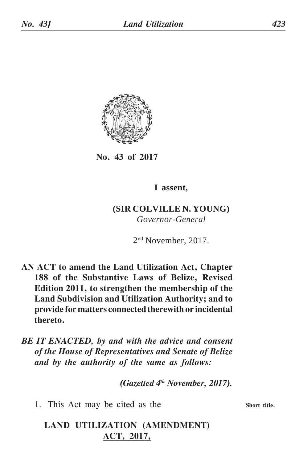

**No. 43 of 2017**

**I assent,**

**(SIR COLVILLE N. YOUNG)** *Governor-General*

2nd November, 2017.

- **AN ACT to amend the Land Utilization Act, Chapter 188 of the Substantive Laws of Belize, Revised Edition 2011, to strengthen the membership of the Land Subdivision and Utilization Authority; and to provide for matters connected therewith or incidental thereto.**
- *BE IT ENACTED, by and with the advice and consent of the House of Representatives and Senate of Belize and by the authority of the same as follows:*

*(Gazetted 4th November, 2017).*

1. This Act may be cited as the

## **LAND UTILIZATION (AMENDMENT) ACT, 2017,**

**Short title.**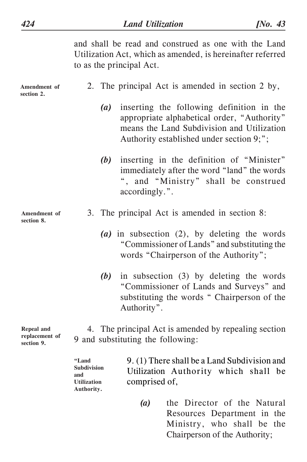and shall be read and construed as one with the Land Utilization Act, which as amended, is hereinafter referred to as the principal Act.

| Amendment of<br>section 2.                 |  |                   | 2. The principal Act is amended in section 2 by,                                                                                                                                   |
|--------------------------------------------|--|-------------------|------------------------------------------------------------------------------------------------------------------------------------------------------------------------------------|
|                                            |  | $\left( a\right)$ | inserting the following definition in the<br>appropriate alphabetical order, "Authority"<br>means the Land Subdivision and Utilization<br>Authority established under section 9;"; |
|                                            |  | (b)               | inserting in the definition of "Minister"<br>immediately after the word "land" the words<br>", and "Ministry" shall be construed<br>accordingly.".                                 |
| Amendment of<br>section 8.                 |  |                   | 3. The principal Act is amended in section 8:                                                                                                                                      |
|                                            |  |                   | (a) in subsection $(2)$ , by deleting the words<br>"Commissioner of Lands" and substituting the<br>words "Chairperson of the Authority";                                           |
|                                            |  | (b)               | in subsection (3) by deleting the words<br>"Commissioner of Lands and Surveys" and<br>substituting the words "Chairperson of the<br>Authority".                                    |
| Repeal and<br>replacement of<br>section 9. |  |                   | 4. The principal Act is amended by repealing section<br>9 and substituting the following:                                                                                          |

9. (1) There shall be a Land Subdivision and Utilization Authority which shall be comprised of, **"Land Subdivision and Utilization Authority.**

> *(a)* the Director of the Natural Resources Department in the Ministry, who shall be the Chairperson of the Authority;